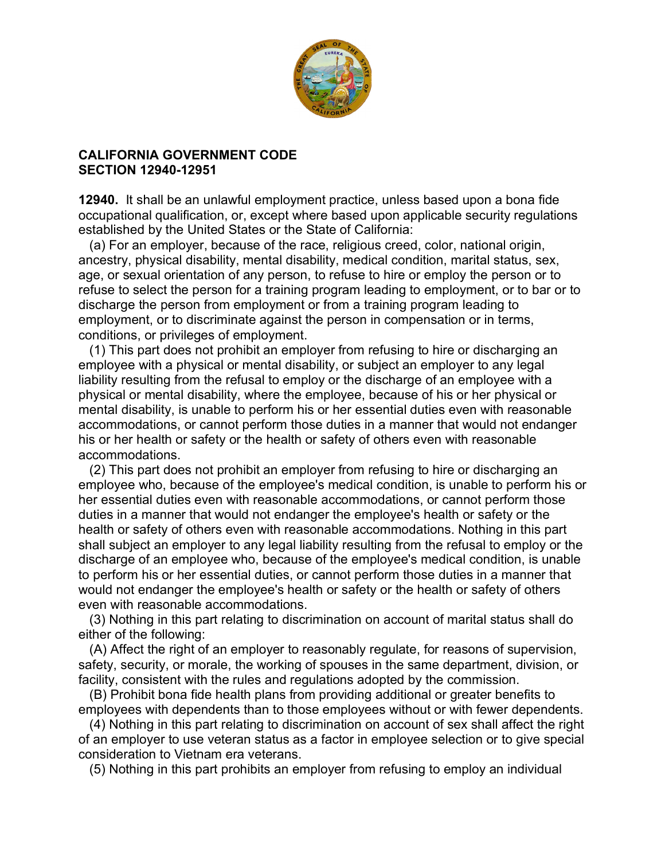

## **CALIFORNIA GOVERNMENT CODE SECTION 12940-12951**

**12940.** It shall be an unlawful employment practice, unless based upon a bona fide occupational qualification, or, except where based upon applicable security regulations established by the United States or the State of California:

 (a) For an employer, because of the race, religious creed, color, national origin, ancestry, physical disability, mental disability, medical condition, marital status, sex, age, or sexual orientation of any person, to refuse to hire or employ the person or to refuse to select the person for a training program leading to employment, or to bar or to discharge the person from employment or from a training program leading to employment, or to discriminate against the person in compensation or in terms, conditions, or privileges of employment.

 (1) This part does not prohibit an employer from refusing to hire or discharging an employee with a physical or mental disability, or subject an employer to any legal liability resulting from the refusal to employ or the discharge of an employee with a physical or mental disability, where the employee, because of his or her physical or mental disability, is unable to perform his or her essential duties even with reasonable accommodations, or cannot perform those duties in a manner that would not endanger his or her health or safety or the health or safety of others even with reasonable accommodations.

 (2) This part does not prohibit an employer from refusing to hire or discharging an employee who, because of the employee's medical condition, is unable to perform his or her essential duties even with reasonable accommodations, or cannot perform those duties in a manner that would not endanger the employee's health or safety or the health or safety of others even with reasonable accommodations. Nothing in this part shall subject an employer to any legal liability resulting from the refusal to employ or the discharge of an employee who, because of the employee's medical condition, is unable to perform his or her essential duties, or cannot perform those duties in a manner that would not endanger the employee's health or safety or the health or safety of others even with reasonable accommodations.

 (3) Nothing in this part relating to discrimination on account of marital status shall do either of the following:

 (A) Affect the right of an employer to reasonably regulate, for reasons of supervision, safety, security, or morale, the working of spouses in the same department, division, or facility, consistent with the rules and regulations adopted by the commission.

 (B) Prohibit bona fide health plans from providing additional or greater benefits to employees with dependents than to those employees without or with fewer dependents.

 (4) Nothing in this part relating to discrimination on account of sex shall affect the right of an employer to use veteran status as a factor in employee selection or to give special consideration to Vietnam era veterans.

(5) Nothing in this part prohibits an employer from refusing to employ an individual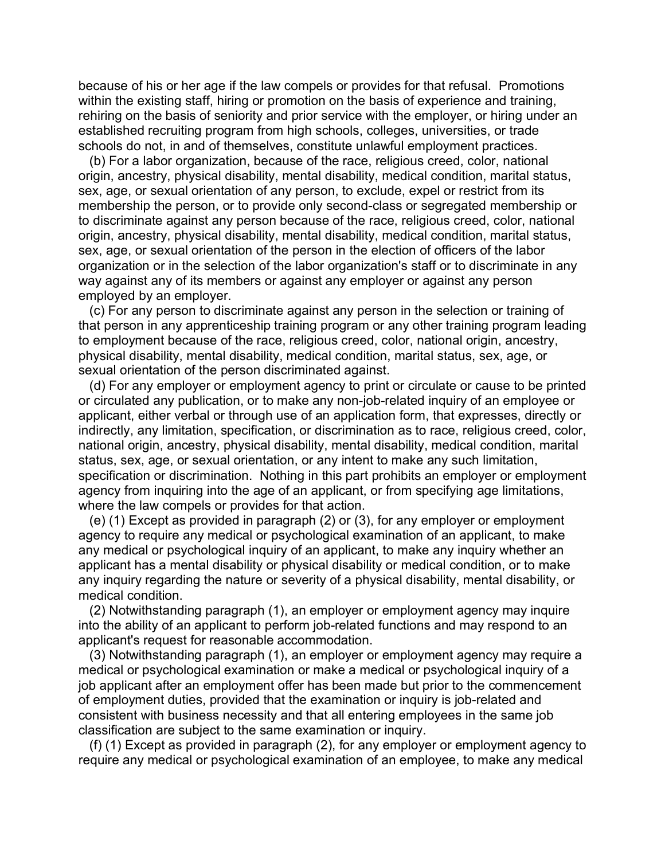because of his or her age if the law compels or provides for that refusal. Promotions within the existing staff, hiring or promotion on the basis of experience and training, rehiring on the basis of seniority and prior service with the employer, or hiring under an established recruiting program from high schools, colleges, universities, or trade schools do not, in and of themselves, constitute unlawful employment practices.

 (b) For a labor organization, because of the race, religious creed, color, national origin, ancestry, physical disability, mental disability, medical condition, marital status, sex, age, or sexual orientation of any person, to exclude, expel or restrict from its membership the person, or to provide only second-class or segregated membership or to discriminate against any person because of the race, religious creed, color, national origin, ancestry, physical disability, mental disability, medical condition, marital status, sex, age, or sexual orientation of the person in the election of officers of the labor organization or in the selection of the labor organization's staff or to discriminate in any way against any of its members or against any employer or against any person employed by an employer.

 (c) For any person to discriminate against any person in the selection or training of that person in any apprenticeship training program or any other training program leading to employment because of the race, religious creed, color, national origin, ancestry, physical disability, mental disability, medical condition, marital status, sex, age, or sexual orientation of the person discriminated against.

 (d) For any employer or employment agency to print or circulate or cause to be printed or circulated any publication, or to make any non-job-related inquiry of an employee or applicant, either verbal or through use of an application form, that expresses, directly or indirectly, any limitation, specification, or discrimination as to race, religious creed, color, national origin, ancestry, physical disability, mental disability, medical condition, marital status, sex, age, or sexual orientation, or any intent to make any such limitation, specification or discrimination. Nothing in this part prohibits an employer or employment agency from inquiring into the age of an applicant, or from specifying age limitations, where the law compels or provides for that action.

 (e) (1) Except as provided in paragraph (2) or (3), for any employer or employment agency to require any medical or psychological examination of an applicant, to make any medical or psychological inquiry of an applicant, to make any inquiry whether an applicant has a mental disability or physical disability or medical condition, or to make any inquiry regarding the nature or severity of a physical disability, mental disability, or medical condition.

 (2) Notwithstanding paragraph (1), an employer or employment agency may inquire into the ability of an applicant to perform job-related functions and may respond to an applicant's request for reasonable accommodation.

 (3) Notwithstanding paragraph (1), an employer or employment agency may require a medical or psychological examination or make a medical or psychological inquiry of a job applicant after an employment offer has been made but prior to the commencement of employment duties, provided that the examination or inquiry is job-related and consistent with business necessity and that all entering employees in the same job classification are subject to the same examination or inquiry.

 (f) (1) Except as provided in paragraph (2), for any employer or employment agency to require any medical or psychological examination of an employee, to make any medical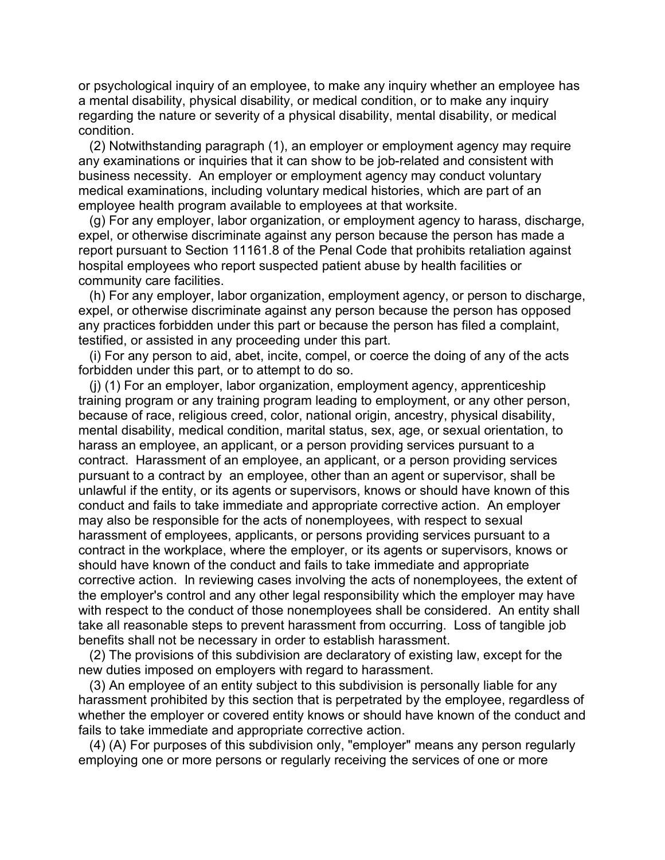or psychological inquiry of an employee, to make any inquiry whether an employee has a mental disability, physical disability, or medical condition, or to make any inquiry regarding the nature or severity of a physical disability, mental disability, or medical condition.

 (2) Notwithstanding paragraph (1), an employer or employment agency may require any examinations or inquiries that it can show to be job-related and consistent with business necessity. An employer or employment agency may conduct voluntary medical examinations, including voluntary medical histories, which are part of an employee health program available to employees at that worksite.

 (g) For any employer, labor organization, or employment agency to harass, discharge, expel, or otherwise discriminate against any person because the person has made a report pursuant to Section 11161.8 of the Penal Code that prohibits retaliation against hospital employees who report suspected patient abuse by health facilities or community care facilities.

 (h) For any employer, labor organization, employment agency, or person to discharge, expel, or otherwise discriminate against any person because the person has opposed any practices forbidden under this part or because the person has filed a complaint, testified, or assisted in any proceeding under this part.

 (i) For any person to aid, abet, incite, compel, or coerce the doing of any of the acts forbidden under this part, or to attempt to do so.

 (j) (1) For an employer, labor organization, employment agency, apprenticeship training program or any training program leading to employment, or any other person, because of race, religious creed, color, national origin, ancestry, physical disability, mental disability, medical condition, marital status, sex, age, or sexual orientation, to harass an employee, an applicant, or a person providing services pursuant to a contract. Harassment of an employee, an applicant, or a person providing services pursuant to a contract by an employee, other than an agent or supervisor, shall be unlawful if the entity, or its agents or supervisors, knows or should have known of this conduct and fails to take immediate and appropriate corrective action. An employer may also be responsible for the acts of nonemployees, with respect to sexual harassment of employees, applicants, or persons providing services pursuant to a contract in the workplace, where the employer, or its agents or supervisors, knows or should have known of the conduct and fails to take immediate and appropriate corrective action. In reviewing cases involving the acts of nonemployees, the extent of the employer's control and any other legal responsibility which the employer may have with respect to the conduct of those nonemployees shall be considered. An entity shall take all reasonable steps to prevent harassment from occurring. Loss of tangible job benefits shall not be necessary in order to establish harassment.

 (2) The provisions of this subdivision are declaratory of existing law, except for the new duties imposed on employers with regard to harassment.

 (3) An employee of an entity subject to this subdivision is personally liable for any harassment prohibited by this section that is perpetrated by the employee, regardless of whether the employer or covered entity knows or should have known of the conduct and fails to take immediate and appropriate corrective action.

 (4) (A) For purposes of this subdivision only, "employer" means any person regularly employing one or more persons or regularly receiving the services of one or more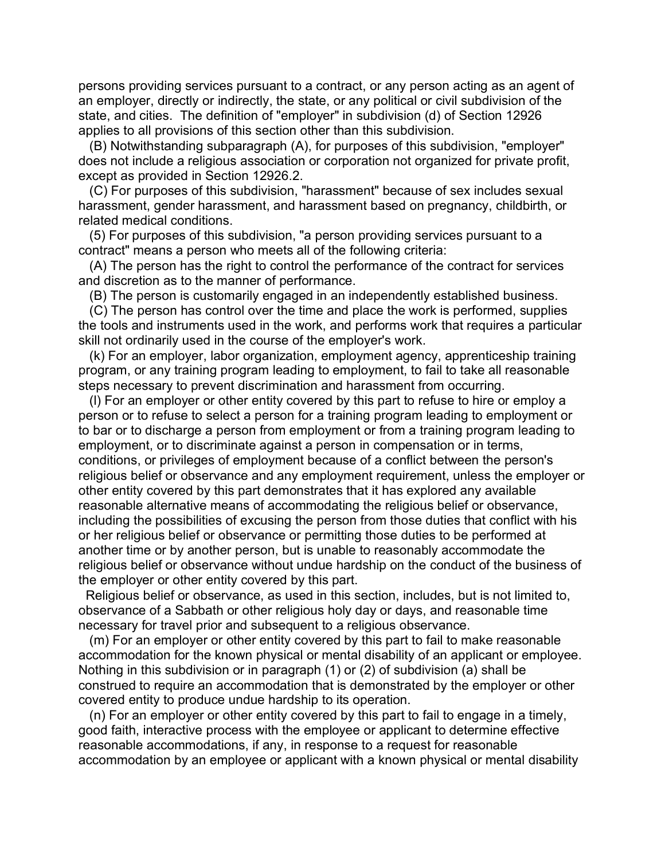persons providing services pursuant to a contract, or any person acting as an agent of an employer, directly or indirectly, the state, or any political or civil subdivision of the state, and cities. The definition of "employer" in subdivision (d) of Section 12926 applies to all provisions of this section other than this subdivision.

 (B) Notwithstanding subparagraph (A), for purposes of this subdivision, "employer" does not include a religious association or corporation not organized for private profit, except as provided in Section 12926.2.

 (C) For purposes of this subdivision, "harassment" because of sex includes sexual harassment, gender harassment, and harassment based on pregnancy, childbirth, or related medical conditions.

 (5) For purposes of this subdivision, "a person providing services pursuant to a contract" means a person who meets all of the following criteria:

 (A) The person has the right to control the performance of the contract for services and discretion as to the manner of performance.

(B) The person is customarily engaged in an independently established business.

 (C) The person has control over the time and place the work is performed, supplies the tools and instruments used in the work, and performs work that requires a particular skill not ordinarily used in the course of the employer's work.

 (k) For an employer, labor organization, employment agency, apprenticeship training program, or any training program leading to employment, to fail to take all reasonable steps necessary to prevent discrimination and harassment from occurring.

 (l) For an employer or other entity covered by this part to refuse to hire or employ a person or to refuse to select a person for a training program leading to employment or to bar or to discharge a person from employment or from a training program leading to employment, or to discriminate against a person in compensation or in terms, conditions, or privileges of employment because of a conflict between the person's religious belief or observance and any employment requirement, unless the employer or other entity covered by this part demonstrates that it has explored any available reasonable alternative means of accommodating the religious belief or observance, including the possibilities of excusing the person from those duties that conflict with his or her religious belief or observance or permitting those duties to be performed at another time or by another person, but is unable to reasonably accommodate the religious belief or observance without undue hardship on the conduct of the business of the employer or other entity covered by this part.

 Religious belief or observance, as used in this section, includes, but is not limited to, observance of a Sabbath or other religious holy day or days, and reasonable time necessary for travel prior and subsequent to a religious observance.

 (m) For an employer or other entity covered by this part to fail to make reasonable accommodation for the known physical or mental disability of an applicant or employee. Nothing in this subdivision or in paragraph (1) or (2) of subdivision (a) shall be construed to require an accommodation that is demonstrated by the employer or other covered entity to produce undue hardship to its operation.

 (n) For an employer or other entity covered by this part to fail to engage in a timely, good faith, interactive process with the employee or applicant to determine effective reasonable accommodations, if any, in response to a request for reasonable accommodation by an employee or applicant with a known physical or mental disability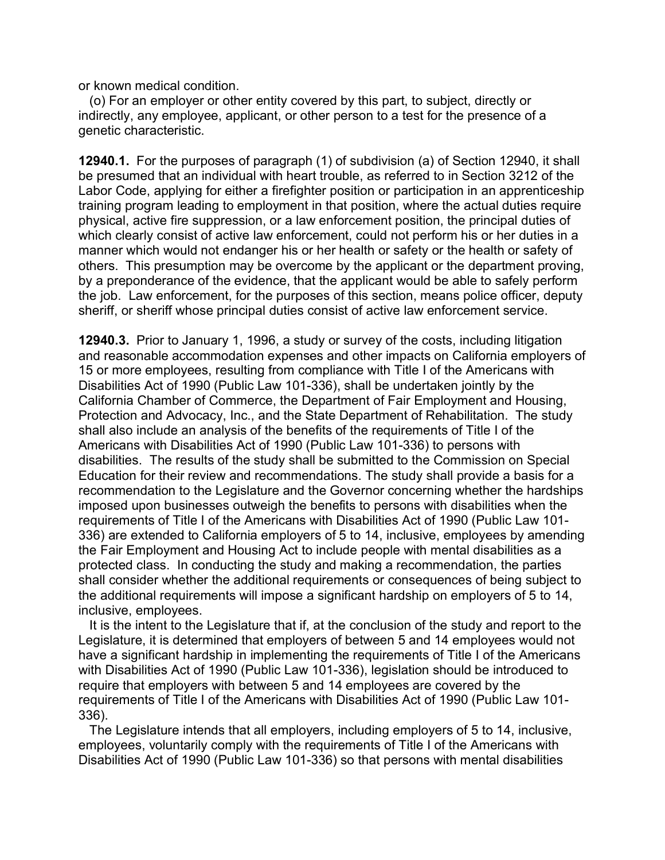or known medical condition.

 (o) For an employer or other entity covered by this part, to subject, directly or indirectly, any employee, applicant, or other person to a test for the presence of a genetic characteristic.

**12940.1.** For the purposes of paragraph (1) of subdivision (a) of Section 12940, it shall be presumed that an individual with heart trouble, as referred to in Section 3212 of the Labor Code, applying for either a firefighter position or participation in an apprenticeship training program leading to employment in that position, where the actual duties require physical, active fire suppression, or a law enforcement position, the principal duties of which clearly consist of active law enforcement, could not perform his or her duties in a manner which would not endanger his or her health or safety or the health or safety of others. This presumption may be overcome by the applicant or the department proving, by a preponderance of the evidence, that the applicant would be able to safely perform the job. Law enforcement, for the purposes of this section, means police officer, deputy sheriff, or sheriff whose principal duties consist of active law enforcement service.

**12940.3.** Prior to January 1, 1996, a study or survey of the costs, including litigation and reasonable accommodation expenses and other impacts on California employers of 15 or more employees, resulting from compliance with Title I of the Americans with Disabilities Act of 1990 (Public Law 101-336), shall be undertaken jointly by the California Chamber of Commerce, the Department of Fair Employment and Housing, Protection and Advocacy, Inc., and the State Department of Rehabilitation. The study shall also include an analysis of the benefits of the requirements of Title I of the Americans with Disabilities Act of 1990 (Public Law 101-336) to persons with disabilities. The results of the study shall be submitted to the Commission on Special Education for their review and recommendations. The study shall provide a basis for a recommendation to the Legislature and the Governor concerning whether the hardships imposed upon businesses outweigh the benefits to persons with disabilities when the requirements of Title I of the Americans with Disabilities Act of 1990 (Public Law 101- 336) are extended to California employers of 5 to 14, inclusive, employees by amending the Fair Employment and Housing Act to include people with mental disabilities as a protected class. In conducting the study and making a recommendation, the parties shall consider whether the additional requirements or consequences of being subject to the additional requirements will impose a significant hardship on employers of 5 to 14, inclusive, employees.

 It is the intent to the Legislature that if, at the conclusion of the study and report to the Legislature, it is determined that employers of between 5 and 14 employees would not have a significant hardship in implementing the requirements of Title I of the Americans with Disabilities Act of 1990 (Public Law 101-336), legislation should be introduced to require that employers with between 5 and 14 employees are covered by the requirements of Title I of the Americans with Disabilities Act of 1990 (Public Law 101- 336).

 The Legislature intends that all employers, including employers of 5 to 14, inclusive, employees, voluntarily comply with the requirements of Title I of the Americans with Disabilities Act of 1990 (Public Law 101-336) so that persons with mental disabilities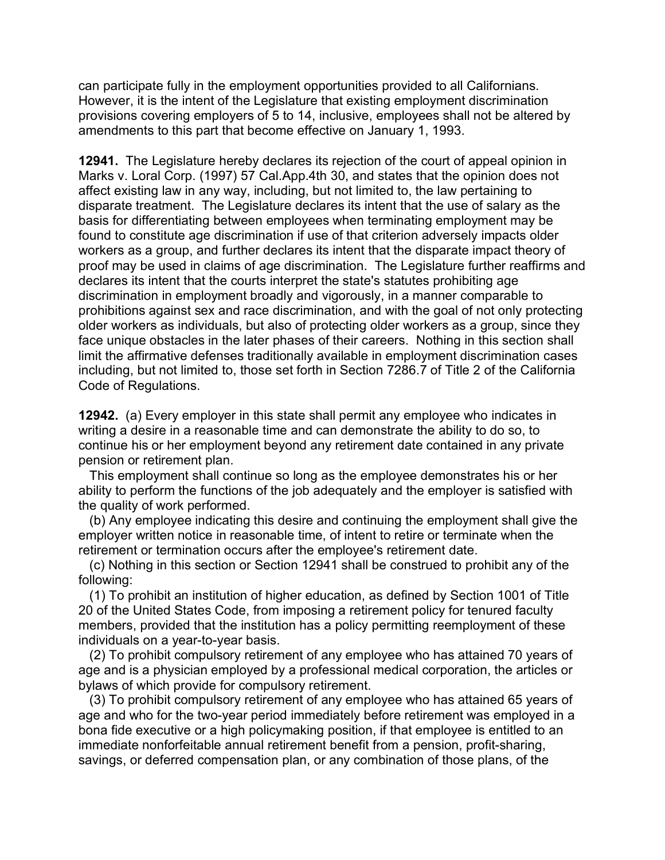can participate fully in the employment opportunities provided to all Californians. However, it is the intent of the Legislature that existing employment discrimination provisions covering employers of 5 to 14, inclusive, employees shall not be altered by amendments to this part that become effective on January 1, 1993.

**12941.** The Legislature hereby declares its rejection of the court of appeal opinion in Marks v. Loral Corp. (1997) 57 Cal.App.4th 30, and states that the opinion does not affect existing law in any way, including, but not limited to, the law pertaining to disparate treatment. The Legislature declares its intent that the use of salary as the basis for differentiating between employees when terminating employment may be found to constitute age discrimination if use of that criterion adversely impacts older workers as a group, and further declares its intent that the disparate impact theory of proof may be used in claims of age discrimination. The Legislature further reaffirms and declares its intent that the courts interpret the state's statutes prohibiting age discrimination in employment broadly and vigorously, in a manner comparable to prohibitions against sex and race discrimination, and with the goal of not only protecting older workers as individuals, but also of protecting older workers as a group, since they face unique obstacles in the later phases of their careers. Nothing in this section shall limit the affirmative defenses traditionally available in employment discrimination cases including, but not limited to, those set forth in Section 7286.7 of Title 2 of the California Code of Regulations.

**12942.** (a) Every employer in this state shall permit any employee who indicates in writing a desire in a reasonable time and can demonstrate the ability to do so, to continue his or her employment beyond any retirement date contained in any private pension or retirement plan.

 This employment shall continue so long as the employee demonstrates his or her ability to perform the functions of the job adequately and the employer is satisfied with the quality of work performed.

 (b) Any employee indicating this desire and continuing the employment shall give the employer written notice in reasonable time, of intent to retire or terminate when the retirement or termination occurs after the employee's retirement date.

 (c) Nothing in this section or Section 12941 shall be construed to prohibit any of the following:

 (1) To prohibit an institution of higher education, as defined by Section 1001 of Title 20 of the United States Code, from imposing a retirement policy for tenured faculty members, provided that the institution has a policy permitting reemployment of these individuals on a year-to-year basis.

 (2) To prohibit compulsory retirement of any employee who has attained 70 years of age and is a physician employed by a professional medical corporation, the articles or bylaws of which provide for compulsory retirement.

 (3) To prohibit compulsory retirement of any employee who has attained 65 years of age and who for the two-year period immediately before retirement was employed in a bona fide executive or a high policymaking position, if that employee is entitled to an immediate nonforfeitable annual retirement benefit from a pension, profit-sharing, savings, or deferred compensation plan, or any combination of those plans, of the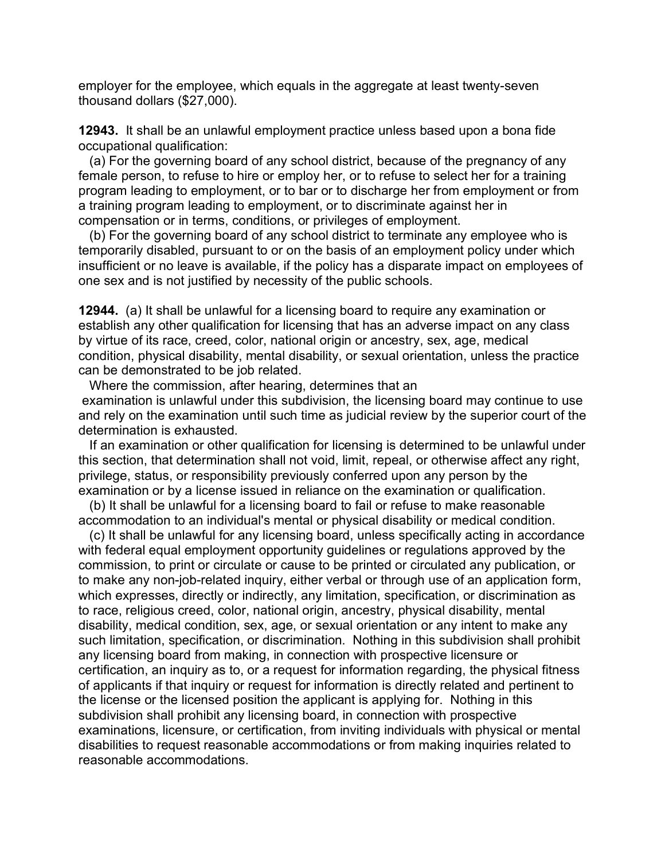employer for the employee, which equals in the aggregate at least twenty-seven thousand dollars (\$27,000).

**12943.** It shall be an unlawful employment practice unless based upon a bona fide occupational qualification:

 (a) For the governing board of any school district, because of the pregnancy of any female person, to refuse to hire or employ her, or to refuse to select her for a training program leading to employment, or to bar or to discharge her from employment or from a training program leading to employment, or to discriminate against her in compensation or in terms, conditions, or privileges of employment.

 (b) For the governing board of any school district to terminate any employee who is temporarily disabled, pursuant to or on the basis of an employment policy under which insufficient or no leave is available, if the policy has a disparate impact on employees of one sex and is not justified by necessity of the public schools.

**12944.** (a) It shall be unlawful for a licensing board to require any examination or establish any other qualification for licensing that has an adverse impact on any class by virtue of its race, creed, color, national origin or ancestry, sex, age, medical condition, physical disability, mental disability, or sexual orientation, unless the practice can be demonstrated to be job related.

 Where the commission, after hearing, determines that an examination is unlawful under this subdivision, the licensing board may continue to use and rely on the examination until such time as judicial review by the superior court of the determination is exhausted.

 If an examination or other qualification for licensing is determined to be unlawful under this section, that determination shall not void, limit, repeal, or otherwise affect any right, privilege, status, or responsibility previously conferred upon any person by the examination or by a license issued in reliance on the examination or qualification.

 (b) It shall be unlawful for a licensing board to fail or refuse to make reasonable accommodation to an individual's mental or physical disability or medical condition.

 (c) It shall be unlawful for any licensing board, unless specifically acting in accordance with federal equal employment opportunity guidelines or regulations approved by the commission, to print or circulate or cause to be printed or circulated any publication, or to make any non-job-related inquiry, either verbal or through use of an application form, which expresses, directly or indirectly, any limitation, specification, or discrimination as to race, religious creed, color, national origin, ancestry, physical disability, mental disability, medical condition, sex, age, or sexual orientation or any intent to make any such limitation, specification, or discrimination. Nothing in this subdivision shall prohibit any licensing board from making, in connection with prospective licensure or certification, an inquiry as to, or a request for information regarding, the physical fitness of applicants if that inquiry or request for information is directly related and pertinent to the license or the licensed position the applicant is applying for. Nothing in this subdivision shall prohibit any licensing board, in connection with prospective examinations, licensure, or certification, from inviting individuals with physical or mental disabilities to request reasonable accommodations or from making inquiries related to reasonable accommodations.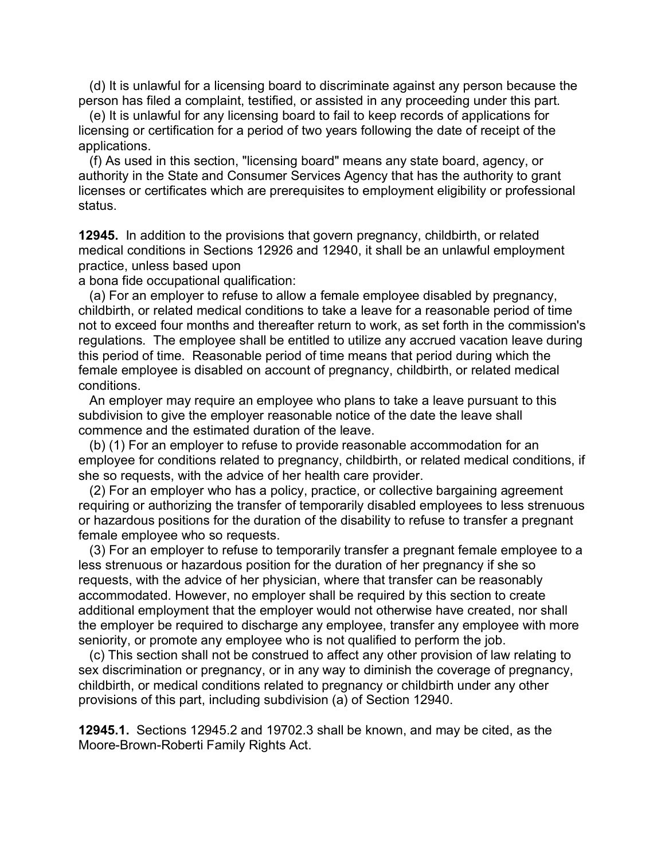(d) It is unlawful for a licensing board to discriminate against any person because the person has filed a complaint, testified, or assisted in any proceeding under this part.

 (e) It is unlawful for any licensing board to fail to keep records of applications for licensing or certification for a period of two years following the date of receipt of the applications.

 (f) As used in this section, "licensing board" means any state board, agency, or authority in the State and Consumer Services Agency that has the authority to grant licenses or certificates which are prerequisites to employment eligibility or professional status.

**12945.** In addition to the provisions that govern pregnancy, childbirth, or related medical conditions in Sections 12926 and 12940, it shall be an unlawful employment practice, unless based upon

a bona fide occupational qualification:

 (a) For an employer to refuse to allow a female employee disabled by pregnancy, childbirth, or related medical conditions to take a leave for a reasonable period of time not to exceed four months and thereafter return to work, as set forth in the commission's regulations. The employee shall be entitled to utilize any accrued vacation leave during this period of time. Reasonable period of time means that period during which the female employee is disabled on account of pregnancy, childbirth, or related medical conditions.

 An employer may require an employee who plans to take a leave pursuant to this subdivision to give the employer reasonable notice of the date the leave shall commence and the estimated duration of the leave.

 (b) (1) For an employer to refuse to provide reasonable accommodation for an employee for conditions related to pregnancy, childbirth, or related medical conditions, if she so requests, with the advice of her health care provider.

 (2) For an employer who has a policy, practice, or collective bargaining agreement requiring or authorizing the transfer of temporarily disabled employees to less strenuous or hazardous positions for the duration of the disability to refuse to transfer a pregnant female employee who so requests.

 (3) For an employer to refuse to temporarily transfer a pregnant female employee to a less strenuous or hazardous position for the duration of her pregnancy if she so requests, with the advice of her physician, where that transfer can be reasonably accommodated. However, no employer shall be required by this section to create additional employment that the employer would not otherwise have created, nor shall the employer be required to discharge any employee, transfer any employee with more seniority, or promote any employee who is not qualified to perform the job.

 (c) This section shall not be construed to affect any other provision of law relating to sex discrimination or pregnancy, or in any way to diminish the coverage of pregnancy, childbirth, or medical conditions related to pregnancy or childbirth under any other provisions of this part, including subdivision (a) of Section 12940.

**12945.1.** Sections 12945.2 and 19702.3 shall be known, and may be cited, as the Moore-Brown-Roberti Family Rights Act.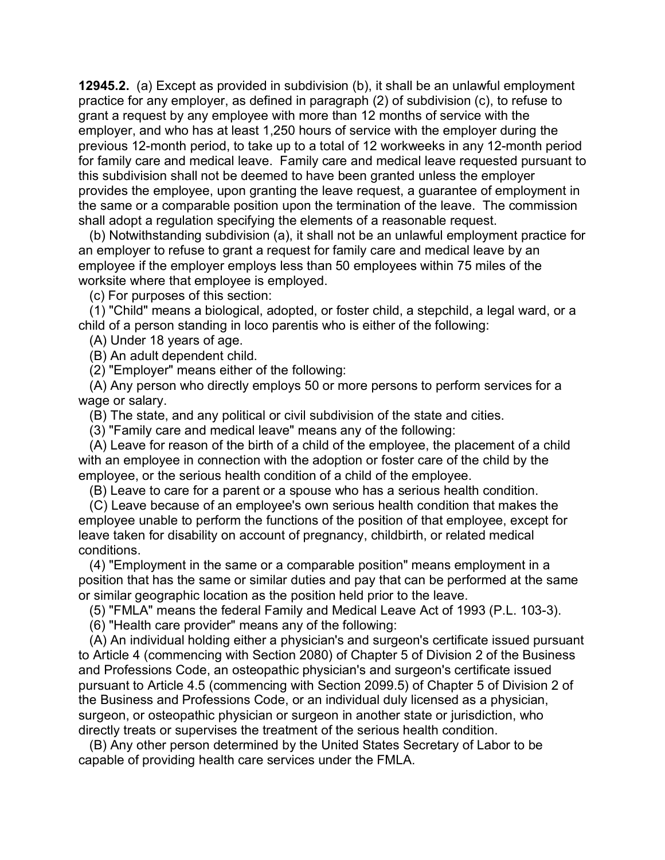**12945.2.** (a) Except as provided in subdivision (b), it shall be an unlawful employment practice for any employer, as defined in paragraph (2) of subdivision (c), to refuse to grant a request by any employee with more than 12 months of service with the employer, and who has at least 1,250 hours of service with the employer during the previous 12-month period, to take up to a total of 12 workweeks in any 12-month period for family care and medical leave. Family care and medical leave requested pursuant to this subdivision shall not be deemed to have been granted unless the employer provides the employee, upon granting the leave request, a guarantee of employment in the same or a comparable position upon the termination of the leave. The commission shall adopt a regulation specifying the elements of a reasonable request.

 (b) Notwithstanding subdivision (a), it shall not be an unlawful employment practice for an employer to refuse to grant a request for family care and medical leave by an employee if the employer employs less than 50 employees within 75 miles of the worksite where that employee is employed.

(c) For purposes of this section:

 (1) "Child" means a biological, adopted, or foster child, a stepchild, a legal ward, or a child of a person standing in loco parentis who is either of the following:

(A) Under 18 years of age.

(B) An adult dependent child.

(2) "Employer" means either of the following:

 (A) Any person who directly employs 50 or more persons to perform services for a wage or salary.

(B) The state, and any political or civil subdivision of the state and cities.

(3) "Family care and medical leave" means any of the following:

 (A) Leave for reason of the birth of a child of the employee, the placement of a child with an employee in connection with the adoption or foster care of the child by the employee, or the serious health condition of a child of the employee.

(B) Leave to care for a parent or a spouse who has a serious health condition.

 (C) Leave because of an employee's own serious health condition that makes the employee unable to perform the functions of the position of that employee, except for leave taken for disability on account of pregnancy, childbirth, or related medical conditions.

 (4) "Employment in the same or a comparable position" means employment in a position that has the same or similar duties and pay that can be performed at the same or similar geographic location as the position held prior to the leave.

(5) "FMLA" means the federal Family and Medical Leave Act of 1993 (P.L. 103-3).

(6) "Health care provider" means any of the following:

 (A) An individual holding either a physician's and surgeon's certificate issued pursuant to Article 4 (commencing with Section 2080) of Chapter 5 of Division 2 of the Business and Professions Code, an osteopathic physician's and surgeon's certificate issued pursuant to Article 4.5 (commencing with Section 2099.5) of Chapter 5 of Division 2 of the Business and Professions Code, or an individual duly licensed as a physician, surgeon, or osteopathic physician or surgeon in another state or jurisdiction, who directly treats or supervises the treatment of the serious health condition.

 (B) Any other person determined by the United States Secretary of Labor to be capable of providing health care services under the FMLA.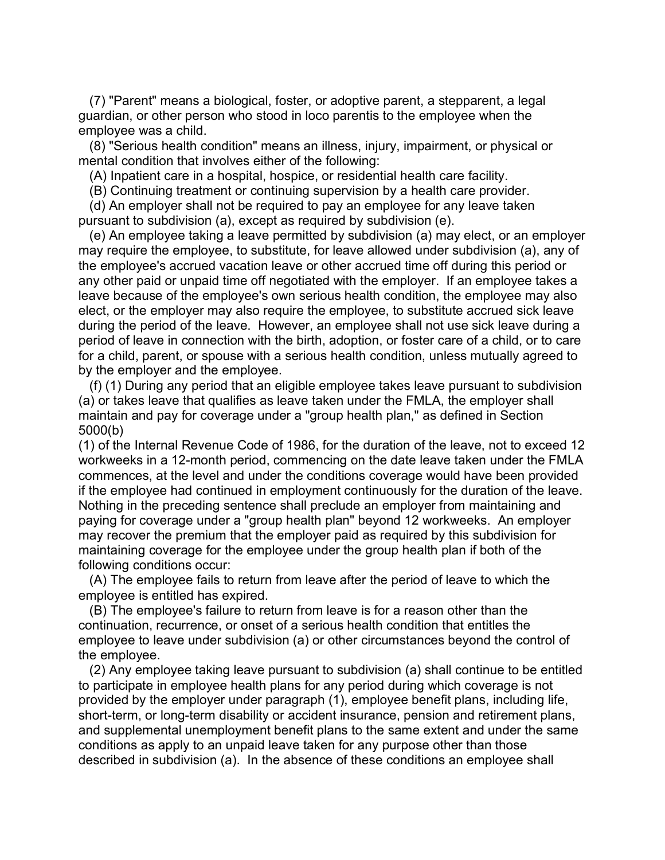(7) "Parent" means a biological, foster, or adoptive parent, a stepparent, a legal guardian, or other person who stood in loco parentis to the employee when the employee was a child.

 (8) "Serious health condition" means an illness, injury, impairment, or physical or mental condition that involves either of the following:

(A) Inpatient care in a hospital, hospice, or residential health care facility.

(B) Continuing treatment or continuing supervision by a health care provider.

 (d) An employer shall not be required to pay an employee for any leave taken pursuant to subdivision (a), except as required by subdivision (e).

 (e) An employee taking a leave permitted by subdivision (a) may elect, or an employer may require the employee, to substitute, for leave allowed under subdivision (a), any of the employee's accrued vacation leave or other accrued time off during this period or any other paid or unpaid time off negotiated with the employer. If an employee takes a leave because of the employee's own serious health condition, the employee may also elect, or the employer may also require the employee, to substitute accrued sick leave during the period of the leave. However, an employee shall not use sick leave during a period of leave in connection with the birth, adoption, or foster care of a child, or to care for a child, parent, or spouse with a serious health condition, unless mutually agreed to by the employer and the employee.

 (f) (1) During any period that an eligible employee takes leave pursuant to subdivision (a) or takes leave that qualifies as leave taken under the FMLA, the employer shall maintain and pay for coverage under a "group health plan," as defined in Section 5000(b)

(1) of the Internal Revenue Code of 1986, for the duration of the leave, not to exceed 12 workweeks in a 12-month period, commencing on the date leave taken under the FMLA commences, at the level and under the conditions coverage would have been provided if the employee had continued in employment continuously for the duration of the leave. Nothing in the preceding sentence shall preclude an employer from maintaining and paying for coverage under a "group health plan" beyond 12 workweeks. An employer may recover the premium that the employer paid as required by this subdivision for maintaining coverage for the employee under the group health plan if both of the following conditions occur:

 (A) The employee fails to return from leave after the period of leave to which the employee is entitled has expired.

 (B) The employee's failure to return from leave is for a reason other than the continuation, recurrence, or onset of a serious health condition that entitles the employee to leave under subdivision (a) or other circumstances beyond the control of the employee.

 (2) Any employee taking leave pursuant to subdivision (a) shall continue to be entitled to participate in employee health plans for any period during which coverage is not provided by the employer under paragraph (1), employee benefit plans, including life, short-term, or long-term disability or accident insurance, pension and retirement plans, and supplemental unemployment benefit plans to the same extent and under the same conditions as apply to an unpaid leave taken for any purpose other than those described in subdivision (a). In the absence of these conditions an employee shall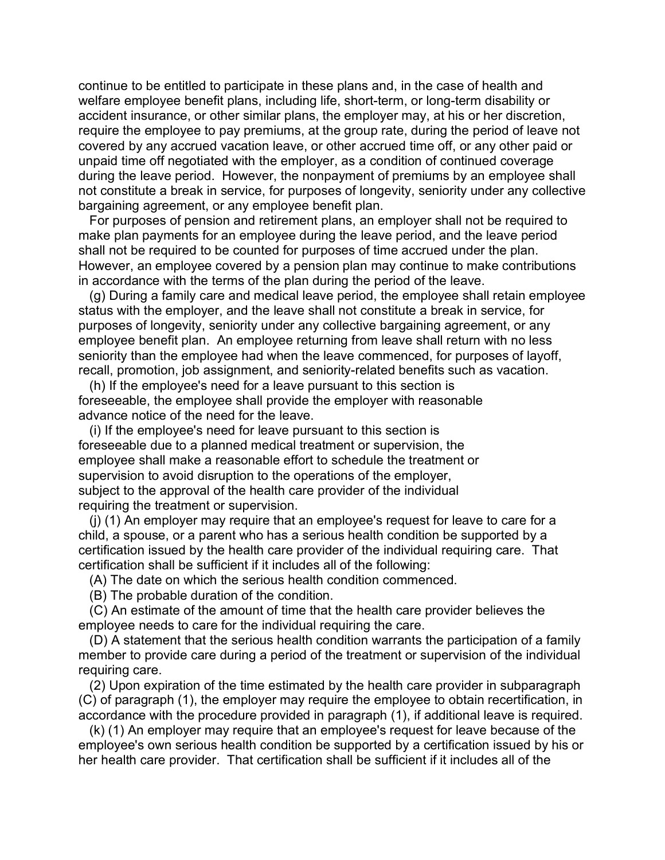continue to be entitled to participate in these plans and, in the case of health and welfare employee benefit plans, including life, short-term, or long-term disability or accident insurance, or other similar plans, the employer may, at his or her discretion, require the employee to pay premiums, at the group rate, during the period of leave not covered by any accrued vacation leave, or other accrued time off, or any other paid or unpaid time off negotiated with the employer, as a condition of continued coverage during the leave period. However, the nonpayment of premiums by an employee shall not constitute a break in service, for purposes of longevity, seniority under any collective bargaining agreement, or any employee benefit plan.

 For purposes of pension and retirement plans, an employer shall not be required to make plan payments for an employee during the leave period, and the leave period shall not be required to be counted for purposes of time accrued under the plan. However, an employee covered by a pension plan may continue to make contributions in accordance with the terms of the plan during the period of the leave.

 (g) During a family care and medical leave period, the employee shall retain employee status with the employer, and the leave shall not constitute a break in service, for purposes of longevity, seniority under any collective bargaining agreement, or any employee benefit plan. An employee returning from leave shall return with no less seniority than the employee had when the leave commenced, for purposes of layoff, recall, promotion, job assignment, and seniority-related benefits such as vacation.

 (h) If the employee's need for a leave pursuant to this section is foreseeable, the employee shall provide the employer with reasonable advance notice of the need for the leave.

 (i) If the employee's need for leave pursuant to this section is foreseeable due to a planned medical treatment or supervision, the employee shall make a reasonable effort to schedule the treatment or supervision to avoid disruption to the operations of the employer, subject to the approval of the health care provider of the individual requiring the treatment or supervision.

 (j) (1) An employer may require that an employee's request for leave to care for a child, a spouse, or a parent who has a serious health condition be supported by a certification issued by the health care provider of the individual requiring care. That certification shall be sufficient if it includes all of the following:

(A) The date on which the serious health condition commenced.

(B) The probable duration of the condition.

 (C) An estimate of the amount of time that the health care provider believes the employee needs to care for the individual requiring the care.

 (D) A statement that the serious health condition warrants the participation of a family member to provide care during a period of the treatment or supervision of the individual requiring care.

 (2) Upon expiration of the time estimated by the health care provider in subparagraph (C) of paragraph (1), the employer may require the employee to obtain recertification, in accordance with the procedure provided in paragraph (1), if additional leave is required.

 (k) (1) An employer may require that an employee's request for leave because of the employee's own serious health condition be supported by a certification issued by his or her health care provider. That certification shall be sufficient if it includes all of the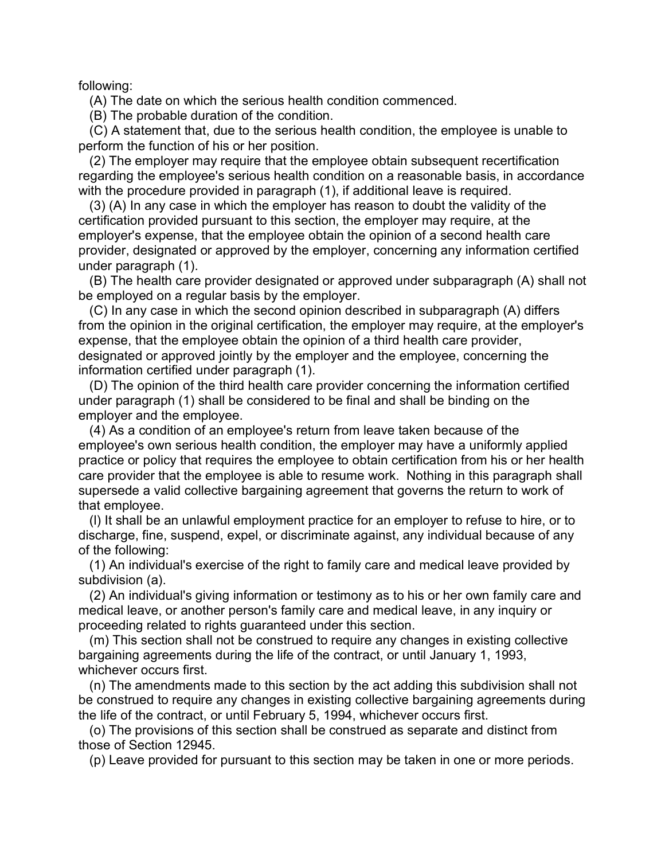following:

(A) The date on which the serious health condition commenced.

(B) The probable duration of the condition.

 (C) A statement that, due to the serious health condition, the employee is unable to perform the function of his or her position.

 (2) The employer may require that the employee obtain subsequent recertification regarding the employee's serious health condition on a reasonable basis, in accordance with the procedure provided in paragraph (1), if additional leave is required.

 (3) (A) In any case in which the employer has reason to doubt the validity of the certification provided pursuant to this section, the employer may require, at the employer's expense, that the employee obtain the opinion of a second health care provider, designated or approved by the employer, concerning any information certified under paragraph (1).

 (B) The health care provider designated or approved under subparagraph (A) shall not be employed on a regular basis by the employer.

 (C) In any case in which the second opinion described in subparagraph (A) differs from the opinion in the original certification, the employer may require, at the employer's expense, that the employee obtain the opinion of a third health care provider, designated or approved jointly by the employer and the employee, concerning the information certified under paragraph (1).

 (D) The opinion of the third health care provider concerning the information certified under paragraph (1) shall be considered to be final and shall be binding on the employer and the employee.

 (4) As a condition of an employee's return from leave taken because of the employee's own serious health condition, the employer may have a uniformly applied practice or policy that requires the employee to obtain certification from his or her health care provider that the employee is able to resume work. Nothing in this paragraph shall supersede a valid collective bargaining agreement that governs the return to work of that employee.

 (l) It shall be an unlawful employment practice for an employer to refuse to hire, or to discharge, fine, suspend, expel, or discriminate against, any individual because of any of the following:

 (1) An individual's exercise of the right to family care and medical leave provided by subdivision (a).

 (2) An individual's giving information or testimony as to his or her own family care and medical leave, or another person's family care and medical leave, in any inquiry or proceeding related to rights guaranteed under this section.

 (m) This section shall not be construed to require any changes in existing collective bargaining agreements during the life of the contract, or until January 1, 1993, whichever occurs first.

 (n) The amendments made to this section by the act adding this subdivision shall not be construed to require any changes in existing collective bargaining agreements during the life of the contract, or until February 5, 1994, whichever occurs first.

 (o) The provisions of this section shall be construed as separate and distinct from those of Section 12945.

(p) Leave provided for pursuant to this section may be taken in one or more periods.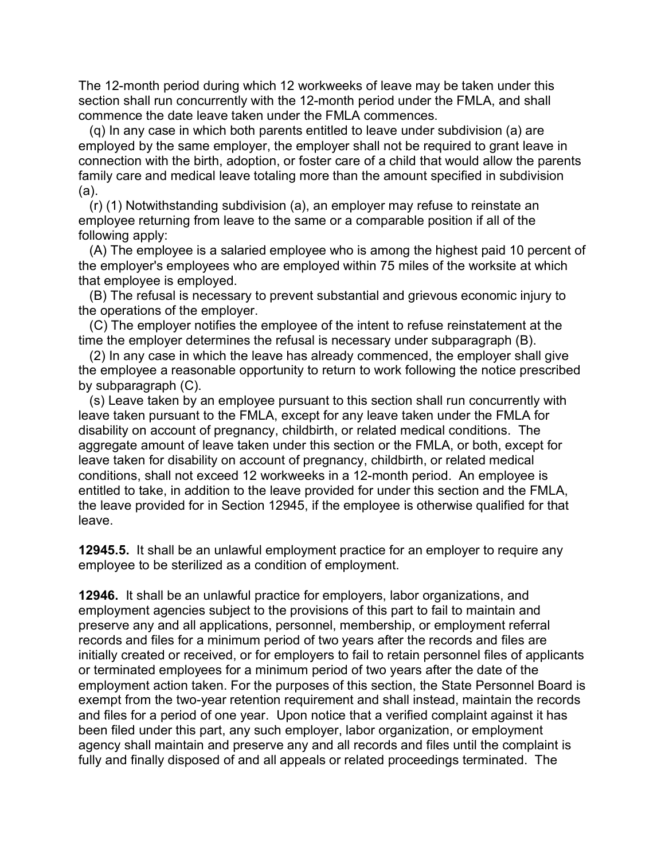The 12-month period during which 12 workweeks of leave may be taken under this section shall run concurrently with the 12-month period under the FMLA, and shall commence the date leave taken under the FMLA commences.

 (q) In any case in which both parents entitled to leave under subdivision (a) are employed by the same employer, the employer shall not be required to grant leave in connection with the birth, adoption, or foster care of a child that would allow the parents family care and medical leave totaling more than the amount specified in subdivision (a).

 (r) (1) Notwithstanding subdivision (a), an employer may refuse to reinstate an employee returning from leave to the same or a comparable position if all of the following apply:

 (A) The employee is a salaried employee who is among the highest paid 10 percent of the employer's employees who are employed within 75 miles of the worksite at which that employee is employed.

 (B) The refusal is necessary to prevent substantial and grievous economic injury to the operations of the employer.

 (C) The employer notifies the employee of the intent to refuse reinstatement at the time the employer determines the refusal is necessary under subparagraph (B).

 (2) In any case in which the leave has already commenced, the employer shall give the employee a reasonable opportunity to return to work following the notice prescribed by subparagraph (C).

 (s) Leave taken by an employee pursuant to this section shall run concurrently with leave taken pursuant to the FMLA, except for any leave taken under the FMLA for disability on account of pregnancy, childbirth, or related medical conditions. The aggregate amount of leave taken under this section or the FMLA, or both, except for leave taken for disability on account of pregnancy, childbirth, or related medical conditions, shall not exceed 12 workweeks in a 12-month period. An employee is entitled to take, in addition to the leave provided for under this section and the FMLA, the leave provided for in Section 12945, if the employee is otherwise qualified for that leave.

**12945.5.** It shall be an unlawful employment practice for an employer to require any employee to be sterilized as a condition of employment.

**12946.** It shall be an unlawful practice for employers, labor organizations, and employment agencies subject to the provisions of this part to fail to maintain and preserve any and all applications, personnel, membership, or employment referral records and files for a minimum period of two years after the records and files are initially created or received, or for employers to fail to retain personnel files of applicants or terminated employees for a minimum period of two years after the date of the employment action taken. For the purposes of this section, the State Personnel Board is exempt from the two-year retention requirement and shall instead, maintain the records and files for a period of one year. Upon notice that a verified complaint against it has been filed under this part, any such employer, labor organization, or employment agency shall maintain and preserve any and all records and files until the complaint is fully and finally disposed of and all appeals or related proceedings terminated. The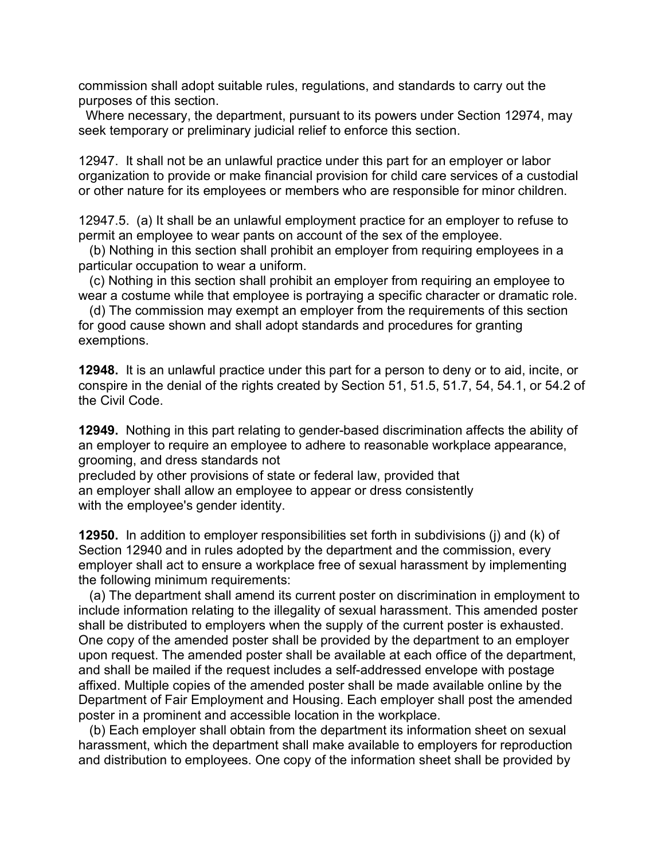commission shall adopt suitable rules, regulations, and standards to carry out the purposes of this section.

 Where necessary, the department, pursuant to its powers under Section 12974, may seek temporary or preliminary judicial relief to enforce this section.

12947. It shall not be an unlawful practice under this part for an employer or labor organization to provide or make financial provision for child care services of a custodial or other nature for its employees or members who are responsible for minor children.

12947.5. (a) It shall be an unlawful employment practice for an employer to refuse to permit an employee to wear pants on account of the sex of the employee.

 (b) Nothing in this section shall prohibit an employer from requiring employees in a particular occupation to wear a uniform.

 (c) Nothing in this section shall prohibit an employer from requiring an employee to wear a costume while that employee is portraying a specific character or dramatic role.

 (d) The commission may exempt an employer from the requirements of this section for good cause shown and shall adopt standards and procedures for granting exemptions.

**12948.** It is an unlawful practice under this part for a person to deny or to aid, incite, or conspire in the denial of the rights created by Section 51, 51.5, 51.7, 54, 54.1, or 54.2 of the Civil Code.

**12949.** Nothing in this part relating to gender-based discrimination affects the ability of an employer to require an employee to adhere to reasonable workplace appearance, grooming, and dress standards not

precluded by other provisions of state or federal law, provided that an employer shall allow an employee to appear or dress consistently with the employee's gender identity.

**12950.** In addition to employer responsibilities set forth in subdivisions (j) and (k) of Section 12940 and in rules adopted by the department and the commission, every employer shall act to ensure a workplace free of sexual harassment by implementing the following minimum requirements:

 (a) The department shall amend its current poster on discrimination in employment to include information relating to the illegality of sexual harassment. This amended poster shall be distributed to employers when the supply of the current poster is exhausted. One copy of the amended poster shall be provided by the department to an employer upon request. The amended poster shall be available at each office of the department, and shall be mailed if the request includes a self-addressed envelope with postage affixed. Multiple copies of the amended poster shall be made available online by the Department of Fair Employment and Housing. Each employer shall post the amended poster in a prominent and accessible location in the workplace.

 (b) Each employer shall obtain from the department its information sheet on sexual harassment, which the department shall make available to employers for reproduction and distribution to employees. One copy of the information sheet shall be provided by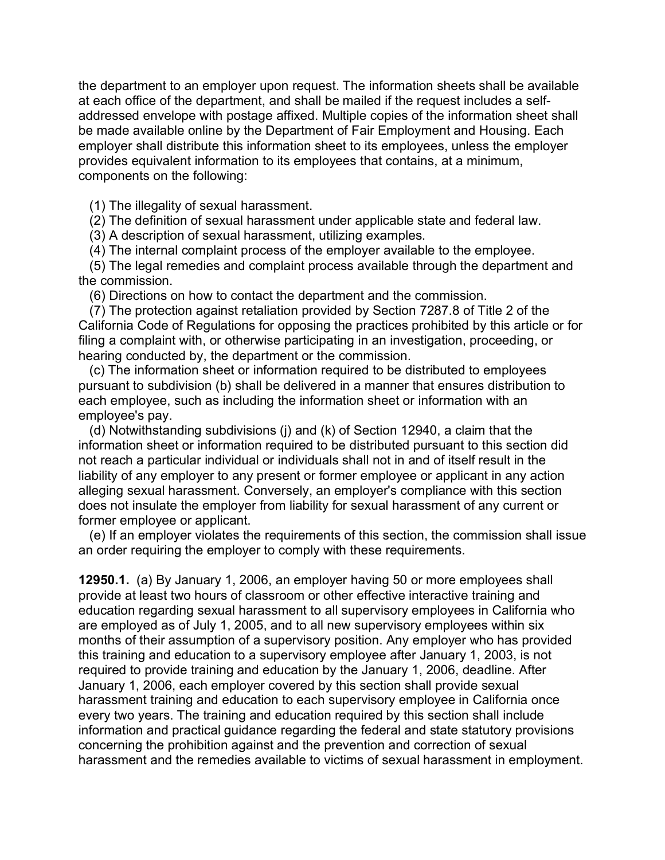the department to an employer upon request. The information sheets shall be available at each office of the department, and shall be mailed if the request includes a selfaddressed envelope with postage affixed. Multiple copies of the information sheet shall be made available online by the Department of Fair Employment and Housing. Each employer shall distribute this information sheet to its employees, unless the employer provides equivalent information to its employees that contains, at a minimum, components on the following:

(1) The illegality of sexual harassment.

(2) The definition of sexual harassment under applicable state and federal law.

(3) A description of sexual harassment, utilizing examples.

(4) The internal complaint process of the employer available to the employee.

 (5) The legal remedies and complaint process available through the department and the commission.

(6) Directions on how to contact the department and the commission.

 (7) The protection against retaliation provided by Section 7287.8 of Title 2 of the California Code of Regulations for opposing the practices prohibited by this article or for filing a complaint with, or otherwise participating in an investigation, proceeding, or hearing conducted by, the department or the commission.

 (c) The information sheet or information required to be distributed to employees pursuant to subdivision (b) shall be delivered in a manner that ensures distribution to each employee, such as including the information sheet or information with an employee's pay.

 (d) Notwithstanding subdivisions (j) and (k) of Section 12940, a claim that the information sheet or information required to be distributed pursuant to this section did not reach a particular individual or individuals shall not in and of itself result in the liability of any employer to any present or former employee or applicant in any action alleging sexual harassment. Conversely, an employer's compliance with this section does not insulate the employer from liability for sexual harassment of any current or former employee or applicant.

 (e) If an employer violates the requirements of this section, the commission shall issue an order requiring the employer to comply with these requirements.

**12950.1.** (a) By January 1, 2006, an employer having 50 or more employees shall provide at least two hours of classroom or other effective interactive training and education regarding sexual harassment to all supervisory employees in California who are employed as of July 1, 2005, and to all new supervisory employees within six months of their assumption of a supervisory position. Any employer who has provided this training and education to a supervisory employee after January 1, 2003, is not required to provide training and education by the January 1, 2006, deadline. After January 1, 2006, each employer covered by this section shall provide sexual harassment training and education to each supervisory employee in California once every two years. The training and education required by this section shall include information and practical guidance regarding the federal and state statutory provisions concerning the prohibition against and the prevention and correction of sexual harassment and the remedies available to victims of sexual harassment in employment.